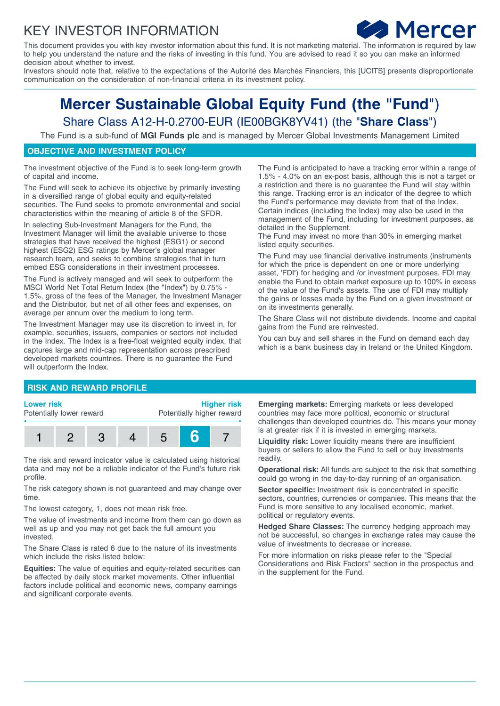## KEY INVESTOR INFORMATION



This document provides you with key investor information about this fund. It is not marketing material. The information is required by law to help you understand the nature and the risks of investing in this fund. You are advised to read it so you can make an informed decision about whether to invest.

Investors should note that, relative to the expectations of the Autorité des Marchés Financiers, this [UCITS] presents disproportionate communication on the consideration of non-financial criteria in its investment policy.

# **Mercer Sustainable Global Equity Fund (the "Fund**") Share Class A12-H-0.2700-EUR (IE00BGK8YV41) (the "**Share Class**")

The Fund is a sub-fund of **MGI Funds plc** and is managed by Mercer Global Investments Management Limited

## **OBJECTIVE AND INVESTMENT POLICY**

The investment objective of the Fund is to seek long-term growth of capital and income.

The Fund will seek to achieve its objective by primarily investing in a diversified range of global equity and equity-related securities. The Fund seeks to promote environmental and social characteristics within the meaning of article 8 of the SFDR.

In selecting Sub-Investment Managers for the Fund, the Investment Manager will limit the available universe to those strategies that have received the highest (ESG1) or second highest (ESG2) ESG ratings by Mercer's global manager research team, and seeks to combine strategies that in turn embed ESG considerations in their investment processes.

The Fund is actively managed and will seek to outperform the MSCI World Net Total Return Index (the "Index") by 0.75% - 1.5%, gross of the fees of the Manager, the Investment Manager and the Distributor, but net of all other fees and expenses, on average per annum over the medium to long term.

The Investment Manager may use its discretion to invest in, for example, securities, issuers, companies or sectors not included in the Index. The Index is a free-float weighted equity index, that captures large and mid-cap representation across prescribed developed markets countries. There is no guarantee the Fund will outperform the Index.

The Fund is anticipated to have a tracking error within a range of 1.5% - 4.0% on an ex-post basis, although this is not a target or a restriction and there is no guarantee the Fund will stay within this range. Tracking error is an indicator of the degree to which the Fund's performance may deviate from that of the Index. Certain indices (including the Index) may also be used in the management of the Fund, including for investment purposes, as detailed in the Supplement.

The Fund may invest no more than 30% in emerging market listed equity securities.

The Fund may use financial derivative instruments (instruments for which the price is dependent on one or more underlying asset, 'FDI**'**) for hedging and /or investment purposes. FDI may enable the Fund to obtain market exposure up to 100% in excess of the value of the Fund's assets. The use of FDI may multiply the gains or losses made by the Fund on a given investment or on its investments generally.

The Share Class will not distribute dividends. Income and capital gains from the Fund are reinvested.

You can buy and sell shares in the Fund on demand each day which is a bank business day in Ireland or the United Kingdom.

### **RISK AND REWARD PROFILE**

#### **Lower risk**

Potentially lower reward

**Higher risk** Potentially higher reward



The risk and reward indicator value is calculated using historical data and may not be a reliable indicator of the Fund's future risk profile.

The risk category shown is not guaranteed and may change over time.

The lowest category, 1, does not mean risk free.

The value of investments and income from them can go down as well as up and you may not get back the full amount you invested.

The Share Class is rated 6 due to the nature of its investments which include the risks listed below:

**Equities:** The value of equities and equity-related securities can be affected by daily stock market movements. Other influential factors include political and economic news, company earnings and significant corporate events.

**Emerging markets:** Emerging markets or less developed countries may face more political, economic or structural challenges than developed countries do. This means your money is at greater risk if it is invested in emerging markets.

**Liquidity risk:** Lower liquidity means there are insufficient buyers or sellers to allow the Fund to sell or buy investments readily.

**Operational risk:** All funds are subject to the risk that something could go wrong in the day-to-day running of an organisation.

**Sector specific:** Investment risk is concentrated in specific sectors, countries, currencies or companies. This means that the Fund is more sensitive to any localised economic, market, political or regulatory events.

**Hedged Share Classes:** The currency hedging approach may not be successful, so changes in exchange rates may cause the value of investments to decrease or increase.

For more information on risks please refer to the "Special Considerations and Risk Factors" section in the prospectus and in the supplement for the Fund.